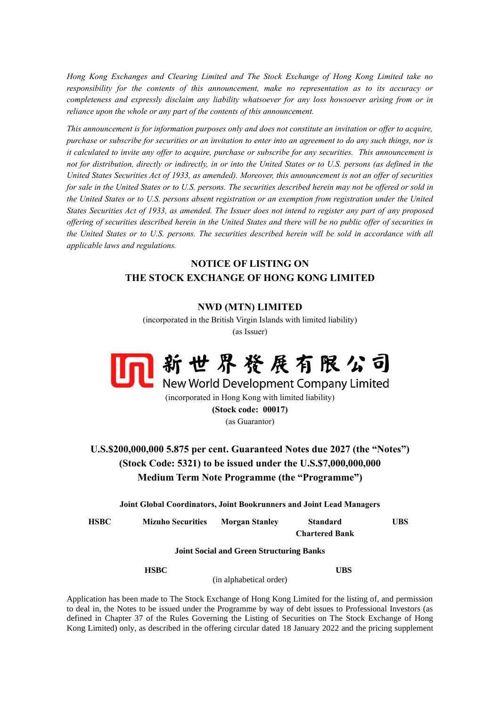*Hong Kong Exchanges and Clearing Limited and The Stock Exchange of Hong Kong Limited take no responsibility for the contents of this announcement, make no representation as to its accuracy or completeness and expressly disclaim any liability whatsoever for any loss howsoever arising from or in reliance upon the whole or any part of the contents of this announcement.*

*This announcement is for information purposes only and does not constitute an invitation or offer to acquire, purchase or subscribe for securities or an invitation to enter into an agreement to do any such things, nor is it calculated to invite any offer to acquire, purchase or subscribe for any securities. This announcement is*  not for distribution, directly or indirectly, in or into the United States or to U.S. persons (as defined in the *United States Securities Act of 1933, as amended). Moreover, this announcement is not an offer of securities for sale in the United States or to U.S. persons. The securities described herein may not be offered or sold in the United States or to U.S. persons absent registration or an exemption from registration under the United States Securities Act of 1933, as amended. The Issuer does not intend to register any part of any proposed offering of securities described herein in the United States and there will be no public offer of securities in the United States or to U.S. persons. The securities described herein will be sold in accordance with all applicable laws and regulations.*

## **NOTICE OF LISTING ON THE STOCK EXCHANGE OF HONG KONG LIMITED**

## **NWD (MTN) LIMITED**

(incorporated in the British Virgin Islands with limited liability) (as Issuer)



(incorporated in Hong Kong with limited liability) **(Stock code: 00017)** (as Guarantor)

## **U.S.\$200,000,000 5.875 per cent. Guaranteed Notes due 2027 (the "Notes") (Stock Code: 5321) to be issued under the U.S.\$7,000,000,000 Medium Term Note Programme (the "Programme")**

**Joint Global Coordinators, Joint Bookrunners and Joint Lead Managers**

**HSBC Mizuho Securities Morgan Stanley Standard Chartered Bank UBS**

**Joint Social and Green Structuring Banks**

**HSBC UBS**

(in alphabetical order)

Application has been made to The Stock Exchange of Hong Kong Limited for the listing of, and permission to deal in, the Notes to be issued under the Programme by way of debt issues to Professional Investors (as defined in Chapter 37 of the Rules Governing the Listing of Securities on The Stock Exchange of Hong Kong Limited) only, as described in the offering circular dated 18 January 2022 and the pricing supplement